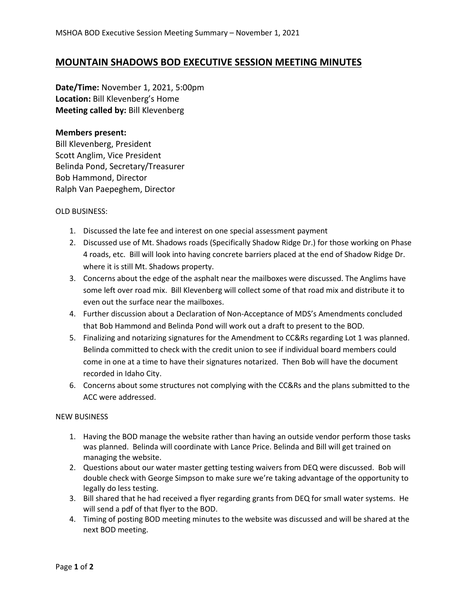## **MOUNTAIN SHADOWS BOD EXECUTIVE SESSION MEETING MINUTES**

**Date/Time:** November 1, 2021, 5:00pm **Location:** Bill Klevenberg's Home **Meeting called by:** Bill Klevenberg

## **Members present:**

Bill Klevenberg, President Scott Anglim, Vice President Belinda Pond, Secretary/Treasurer Bob Hammond, Director Ralph Van Paepeghem, Director

## OLD BUSINESS:

- 1. Discussed the late fee and interest on one special assessment payment
- 2. Discussed use of Mt. Shadows roads (Specifically Shadow Ridge Dr.) for those working on Phase 4 roads, etc. Bill will look into having concrete barriers placed at the end of Shadow Ridge Dr. where it is still Mt. Shadows property.
- 3. Concerns about the edge of the asphalt near the mailboxes were discussed. The Anglims have some left over road mix. Bill Klevenberg will collect some of that road mix and distribute it to even out the surface near the mailboxes.
- 4. Further discussion about a Declaration of Non-Acceptance of MDS's Amendments concluded that Bob Hammond and Belinda Pond will work out a draft to present to the BOD.
- 5. Finalizing and notarizing signatures for the Amendment to CC&Rs regarding Lot 1 was planned. Belinda committed to check with the credit union to see if individual board members could come in one at a time to have their signatures notarized. Then Bob will have the document recorded in Idaho City.
- 6. Concerns about some structures not complying with the CC&Rs and the plans submitted to the ACC were addressed.

## NEW BUSINESS

- 1. Having the BOD manage the website rather than having an outside vendor perform those tasks was planned. Belinda will coordinate with Lance Price. Belinda and Bill will get trained on managing the website.
- 2. Questions about our water master getting testing waivers from DEQ were discussed. Bob will double check with George Simpson to make sure we're taking advantage of the opportunity to legally do less testing.
- 3. Bill shared that he had received a flyer regarding grants from DEQ for small water systems. He will send a pdf of that flyer to the BOD.
- 4. Timing of posting BOD meeting minutes to the website was discussed and will be shared at the next BOD meeting.